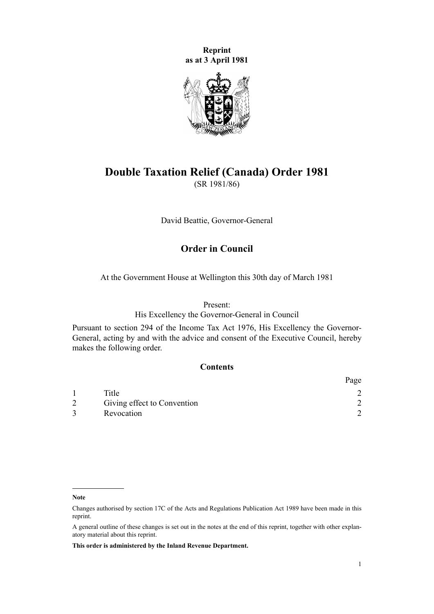**Reprint as at 3 April 1981**



# **Double Taxation Relief (Canada) Order 1981** (SR 1981/86)

David Beattie, Governor-General

## **Order in Council**

At the Government House at Wellington this 30th day of March 1981

Present:

His Excellency the Governor-General in Council

Pursuant to section 294 of the Income Tax Act 1976, His Excellency the Governor-General, acting by and with the advice and consent of the Executive Council, hereby makes the following order.

#### **Contents**

|                             | Page |
|-----------------------------|------|
| Title                       |      |
| Giving effect to Convention |      |
| Revocation                  |      |

**Note**

**This order is administered by the Inland Revenue Department.**

Changes authorised by [section 17C](http://prd-lgnz-nlb.prd.pco.net.nz/pdflink.aspx?id=DLM195466) of the Acts and Regulations Publication Act 1989 have been made in this reprint.

A general outline of these changes is set out in the notes at the end of this reprint, together with other explanatory material about this reprint.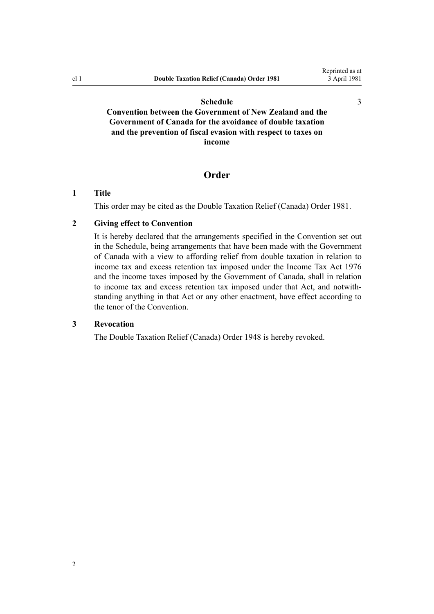[3](#page-2-0)

#### **[Schedule](#page-2-0)**

<span id="page-1-0"></span>**[Convention between the Government of New Zealand and the](#page-2-0) [Government of Canada for the avoidance of double taxation](#page-2-0) [and the prevention of fiscal evasion with respect to taxes on](#page-2-0) [income](#page-2-0)**

#### **Order**

#### **1 Title**

This order may be cited as the Double Taxation Relief (Canada) Order 1981.

#### **2 Giving effect to Convention**

It is hereby declared that the arrangements specified in the Convention set out in the [Schedule,](#page-2-0) being arrangements that have been made with the Government of Canada with a view to affording relief from double taxation in relation to income tax and excess retention tax imposed under the Income Tax Act 1976 and the income taxes imposed by the Government of Canada, shall in relation to income tax and excess retention tax imposed under that Act, and notwithstanding anything in that Act or any other enactment, have effect according to the tenor of the Convention.

#### **3 Revocation**

The Double Taxation Relief (Canada) Order 1948 is hereby revoked.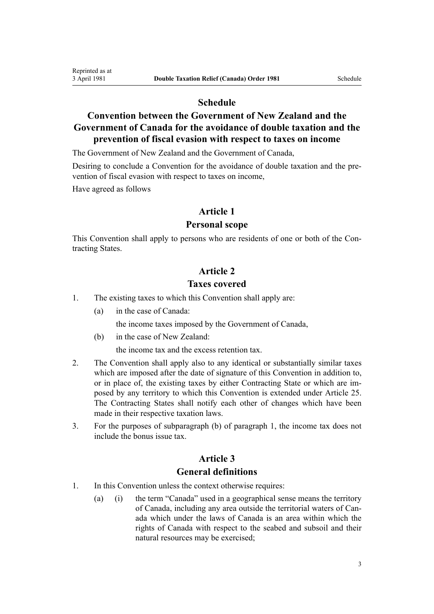## **Schedule**

# <span id="page-2-0"></span>**Convention between the Government of New Zealand and the Government of Canada for the avoidance of double taxation and the prevention of fiscal evasion with respect to taxes on income**

The Government of New Zealand and the Government of Canada,

Desiring to conclude a Convention for the avoidance of double taxation and the prevention of fiscal evasion with respect to taxes on income,

Have agreed as follows

#### **Article 1**

#### **Personal scope**

This Convention shall apply to persons who are residents of one or both of the Contracting States.

#### **Article 2**

## **Taxes covered**

- 1. The existing taxes to which this Convention shall apply are:
	- (a) in the case of Canada:

the income taxes imposed by the Government of Canada,

(b) in the case of New Zealand:

the income tax and the excess retention tax.

- 2. The Convention shall apply also to any identical or substantially similar taxes which are imposed after the date of signature of this Convention in addition to, or in place of, the existing taxes by either Contracting State or which are imposed by any territory to which this Convention is extended under Article 25. The Contracting States shall notify each other of changes which have been made in their respective taxation laws.
- 3. For the purposes of subparagraph (b) of paragraph 1, the income tax does not include the bonus issue tax.

#### **Article 3**

#### **General definitions**

- 1. In this Convention unless the context otherwise requires:
	- (a) (i) the term "Canada" used in a geographical sense means the territory of Canada, including any area outside the territorial waters of Canada which under the laws of Canada is an area within which the rights of Canada with respect to the seabed and subsoil and their natural resources may be exercised;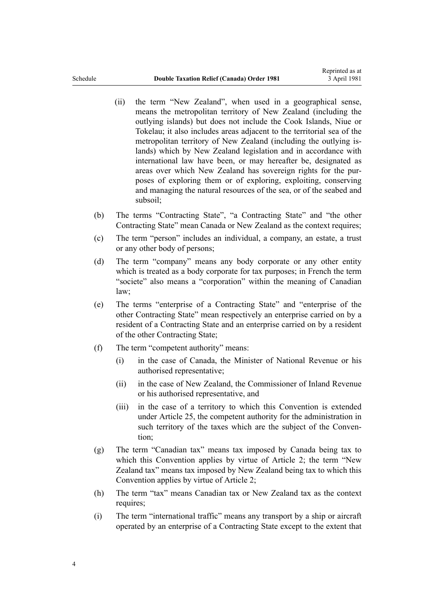- (ii) the term "New Zealand", when used in a geographical sense, means the metropolitan territory of New Zealand (including the outlying islands) but does not include the Cook Islands, Niue or Tokelau; it also includes areas adjacent to the territorial sea of the metropolitan territory of New Zealand (including the outlying islands) which by New Zealand legislation and in accordance with international law have been, or may hereafter be, designated as areas over which New Zealand has sovereign rights for the purposes of exploring them or of exploring, exploiting, conserving and managing the natural resources of the sea, or of the seabed and subsoil;
- (b) The terms "Contracting State", "a Contracting State" and "the other Contracting State" mean Canada or New Zealand as the context requires;
- (c) The term "person" includes an individual, a company, an estate, a trust or any other body of persons;
- (d) The term "company" means any body corporate or any other entity which is treated as a body corporate for tax purposes; in French the term "societe" also means a "corporation" within the meaning of Canadian law;
- (e) The terms "enterprise of a Contracting State" and "enterprise of the other Contracting State" mean respectively an enterprise carried on by a resident of a Contracting State and an enterprise carried on by a resident of the other Contracting State;
- (f) The term "competent authority" means:
	- (i) in the case of Canada, the Minister of National Revenue or his authorised representative;
	- (ii) in the case of New Zealand, the Commissioner of Inland Revenue or his authorised representative, and
	- (iii) in the case of a territory to which this Convention is extended under Article 25, the competent authority for the administration in such territory of the taxes which are the subject of the Convention;
- (g) The term "Canadian tax" means tax imposed by Canada being tax to which this Convention applies by virtue of Article 2; the term "New Zealand tax" means tax imposed by New Zealand being tax to which this Convention applies by virtue of Article 2;
- (h) The term "tax" means Canadian tax or New Zealand tax as the context requires;
- (i) The term "international traffic" means any transport by a ship or aircraft operated by an enterprise of a Contracting State except to the extent that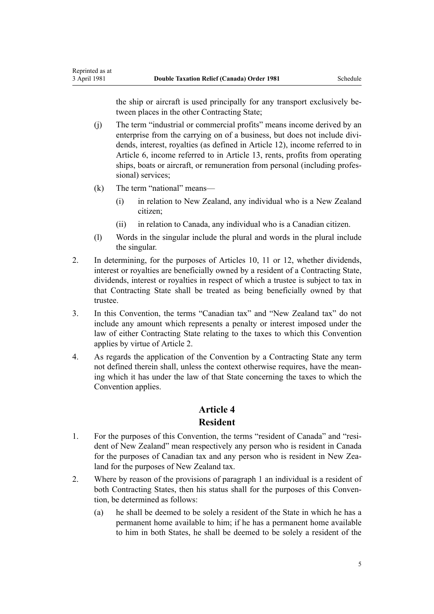the ship or aircraft is used principally for any transport exclusively between places in the other Contracting State;

- (j) The term "industrial or commercial profits" means income derived by an enterprise from the carrying on of a business, but does not include dividends, interest, royalties (as defined in Article 12), income referred to in Article 6, income referred to in Article 13, rents, profits from operating ships, boats or aircraft, or remuneration from personal (including professional) services;
- (k) The term "national" means—

Reprinted as at

- (i) in relation to New Zealand, any individual who is a New Zealand citizen;
- (ii) in relation to Canada, any individual who is a Canadian citizen.
- (l) Words in the singular include the plural and words in the plural include the singular.
- 2. In determining, for the purposes of Articles 10, 11 or 12, whether dividends, interest or royalties are beneficially owned by a resident of a Contracting State, dividends, interest or royalties in respect of which a trustee is subject to tax in that Contracting State shall be treated as being beneficially owned by that trustee.
- 3. In this Convention, the terms "Canadian tax" and "New Zealand tax" do not include any amount which represents a penalty or interest imposed under the law of either Contracting State relating to the taxes to which this Convention applies by virtue of Article 2.
- 4. As regards the application of the Convention by a Contracting State any term not defined therein shall, unless the context otherwise requires, have the meaning which it has under the law of that State concerning the taxes to which the Convention applies.

## **Article 4 Resident**

- 1. For the purposes of this Convention, the terms "resident of Canada" and "resident of New Zealand" mean respectively any person who is resident in Canada for the purposes of Canadian tax and any person who is resident in New Zealand for the purposes of New Zealand tax.
- 2. Where by reason of the provisions of paragraph 1 an individual is a resident of both Contracting States, then his status shall for the purposes of this Convention, be determined as follows:
	- (a) he shall be deemed to be solely a resident of the State in which he has a permanent home available to him; if he has a permanent home available to him in both States, he shall be deemed to be solely a resident of the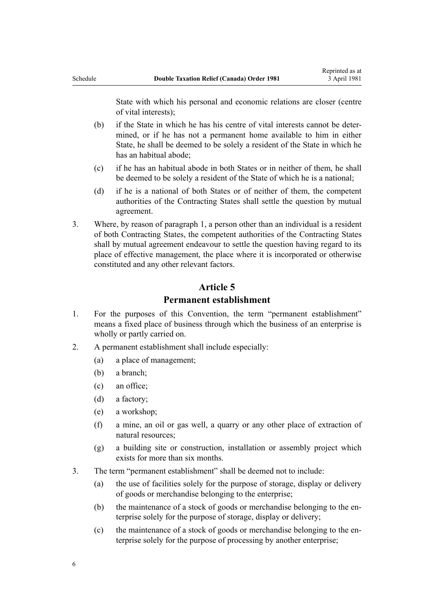State with which his personal and economic relations are closer (centre of vital interests);

- (b) if the State in which he has his centre of vital interests cannot be determined, or if he has not a permanent home available to him in either State, he shall be deemed to be solely a resident of the State in which he has an habitual abode;
- (c) if he has an habitual abode in both States or in neither of them, he shall be deemed to be solely a resident of the State of which he is a national;
- (d) if he is a national of both States or of neither of them, the competent authorities of the Contracting States shall settle the question by mutual agreement.
- 3. Where, by reason of paragraph 1, a person other than an individual is a resident of both Contracting States, the competent authorities of the Contracting States shall by mutual agreement endeavour to settle the question having regard to its place of effective management, the place where it is incorporated or otherwise constituted and any other relevant factors.

#### **Article 5**

### **Permanent establishment**

- 1. For the purposes of this Convention, the term "permanent establishment" means a fixed place of business through which the business of an enterprise is wholly or partly carried on.
- 2. A permanent establishment shall include especially:
	- (a) a place of management;
	- (b) a branch;
	- (c) an office;
	- (d) a factory;
	- (e) a workshop;
	- (f) a mine, an oil or gas well, a quarry or any other place of extraction of natural resources;
	- (g) a building site or construction, installation or assembly project which exists for more than six months.
- 3. The term "permanent establishment" shall be deemed not to include:
	- (a) the use of facilities solely for the purpose of storage, display or delivery of goods or merchandise belonging to the enterprise;
	- (b) the maintenance of a stock of goods or merchandise belonging to the enterprise solely for the purpose of storage, display or delivery;
	- (c) the maintenance of a stock of goods or merchandise belonging to the enterprise solely for the purpose of processing by another enterprise;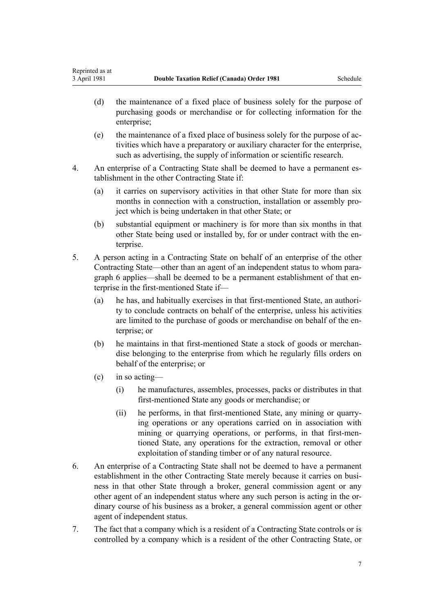- (d) the maintenance of a fixed place of business solely for the purpose of purchasing goods or merchandise or for collecting information for the enterprise;
- (e) the maintenance of a fixed place of business solely for the purpose of activities which have a preparatory or auxiliary character for the enterprise, such as advertising, the supply of information or scientific research.
- 4. An enterprise of a Contracting State shall be deemed to have a permanent establishment in the other Contracting State if:
	- (a) it carries on supervisory activities in that other State for more than six months in connection with a construction, installation or assembly project which is being undertaken in that other State; or
	- (b) substantial equipment or machinery is for more than six months in that other State being used or installed by, for or under contract with the enterprise.
- 5. A person acting in a Contracting State on behalf of an enterprise of the other Contracting State—other than an agent of an independent status to whom paragraph 6 applies—shall be deemed to be a permanent establishment of that enterprise in the first-mentioned State if—
	- (a) he has, and habitually exercises in that first-mentioned State, an authority to conclude contracts on behalf of the enterprise, unless his activities are limited to the purchase of goods or merchandise on behalf of the enterprise; or
	- (b) he maintains in that first-mentioned State a stock of goods or merchandise belonging to the enterprise from which he regularly fills orders on behalf of the enterprise; or
	- (c) in so acting—
		- (i) he manufactures, assembles, processes, packs or distributes in that first-mentioned State any goods or merchandise; or
		- (ii) he performs, in that first-mentioned State, any mining or quarrying operations or any operations carried on in association with mining or quarrying operations, or performs, in that first-mentioned State, any operations for the extraction, removal or other exploitation of standing timber or of any natural resource.
- 6. An enterprise of a Contracting State shall not be deemed to have a permanent establishment in the other Contracting State merely because it carries on business in that other State through a broker, general commission agent or any other agent of an independent status where any such person is acting in the ordinary course of his business as a broker, a general commission agent or other agent of independent status.
- 7. The fact that a company which is a resident of a Contracting State controls or is controlled by a company which is a resident of the other Contracting State, or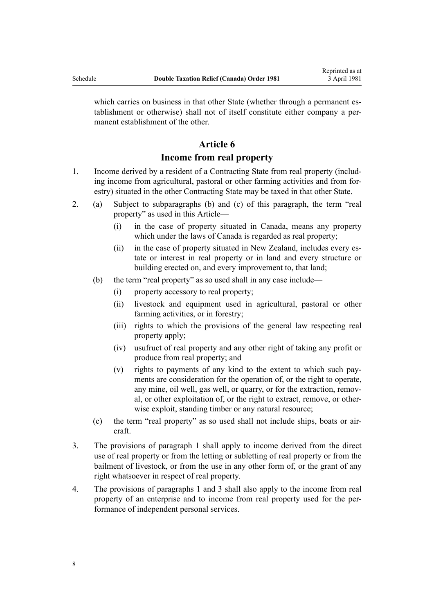which carries on business in that other State (whether through a permanent establishment or otherwise) shall not of itself constitute either company a permanent establishment of the other.

# **Article 6**

## **Income from real property**

- 1. Income derived by a resident of a Contracting State from real property (including income from agricultural, pastoral or other farming activities and from forestry) situated in the other Contracting State may be taxed in that other State.
- 2. (a) Subject to subparagraphs (b) and (c) of this paragraph, the term "real property" as used in this Article—
	- (i) in the case of property situated in Canada, means any property which under the laws of Canada is regarded as real property;
	- (ii) in the case of property situated in New Zealand, includes every estate or interest in real property or in land and every structure or building erected on, and every improvement to, that land;
	- (b) the term "real property" as so used shall in any case include—
		- (i) property accessory to real property;
		- (ii) livestock and equipment used in agricultural, pastoral or other farming activities, or in forestry;
		- (iii) rights to which the provisions of the general law respecting real property apply;
		- (iv) usufruct of real property and any other right of taking any profit or produce from real property; and
		- (v) rights to payments of any kind to the extent to which such payments are consideration for the operation of, or the right to operate, any mine, oil well, gas well, or quarry, or for the extraction, removal, or other exploitation of, or the right to extract, remove, or otherwise exploit, standing timber or any natural resource;
	- (c) the term "real property" as so used shall not include ships, boats or aircraft.
- 3. The provisions of paragraph 1 shall apply to income derived from the direct use of real property or from the letting or subletting of real property or from the bailment of livestock, or from the use in any other form of, or the grant of any right whatsoever in respect of real property.
- 4. The provisions of paragraphs 1 and 3 shall also apply to the income from real property of an enterprise and to income from real property used for the performance of independent personal services.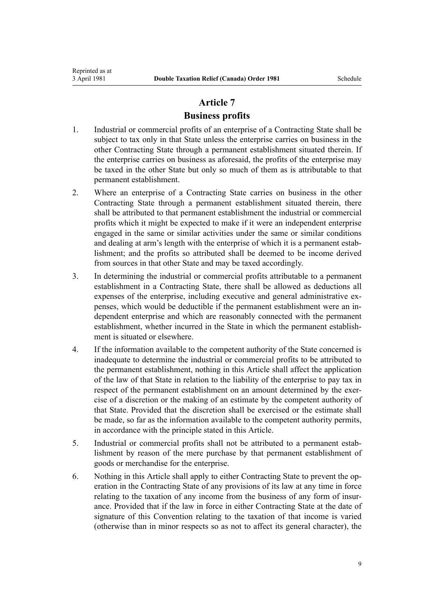#### **Business profits**

- 1. Industrial or commercial profits of an enterprise of a Contracting State shall be subject to tax only in that State unless the enterprise carries on business in the other Contracting State through a permanent establishment situated therein. If the enterprise carries on business as aforesaid, the profits of the enterprise may be taxed in the other State but only so much of them as is attributable to that permanent establishment.
- 2. Where an enterprise of a Contracting State carries on business in the other Contracting State through a permanent establishment situated therein, there shall be attributed to that permanent establishment the industrial or commercial profits which it might be expected to make if it were an independent enterprise engaged in the same or similar activities under the same or similar conditions and dealing at arm's length with the enterprise of which it is a permanent establishment; and the profits so attributed shall be deemed to be income derived from sources in that other State and may be taxed accordingly.
- 3. In determining the industrial or commercial profits attributable to a permanent establishment in a Contracting State, there shall be allowed as deductions all expenses of the enterprise, including executive and general administrative expenses, which would be deductible if the permanent establishment were an independent enterprise and which are reasonably connected with the permanent establishment, whether incurred in the State in which the permanent establishment is situated or elsewhere.
- 4. If the information available to the competent authority of the State concerned is inadequate to determine the industrial or commercial profits to be attributed to the permanent establishment, nothing in this Article shall affect the application of the law of that State in relation to the liability of the enterprise to pay tax in respect of the permanent establishment on an amount determined by the exercise of a discretion or the making of an estimate by the competent authority of that State. Provided that the discretion shall be exercised or the estimate shall be made, so far as the information available to the competent authority permits, in accordance with the principle stated in this Article.
- 5. Industrial or commercial profits shall not be attributed to a permanent establishment by reason of the mere purchase by that permanent establishment of goods or merchandise for the enterprise.
- 6. Nothing in this Article shall apply to either Contracting State to prevent the operation in the Contracting State of any provisions of its law at any time in force relating to the taxation of any income from the business of any form of insurance. Provided that if the law in force in either Contracting State at the date of signature of this Convention relating to the taxation of that income is varied (otherwise than in minor respects so as not to affect its general character), the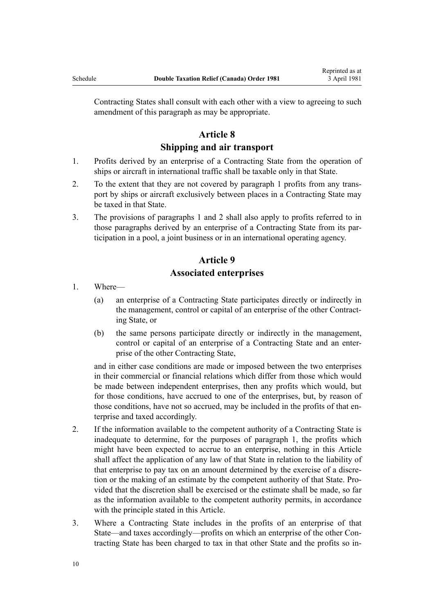Contracting States shall consult with each other with a view to agreeing to such amendment of this paragraph as may be appropriate.

# **Article 8**

#### **Shipping and air transport**

- 1. Profits derived by an enterprise of a Contracting State from the operation of ships or aircraft in international traffic shall be taxable only in that State.
- 2. To the extent that they are not covered by paragraph 1 profits from any transport by ships or aircraft exclusively between places in a Contracting State may be taxed in that State.
- 3. The provisions of paragraphs 1 and 2 shall also apply to profits referred to in those paragraphs derived by an enterprise of a Contracting State from its participation in a pool, a joint business or in an international operating agency.

# **Article 9 Associated enterprises**

- 1. Where—
	- (a) an enterprise of a Contracting State participates directly or indirectly in the management, control or capital of an enterprise of the other Contracting State, or
	- (b) the same persons participate directly or indirectly in the management, control or capital of an enterprise of a Contracting State and an enterprise of the other Contracting State,

and in either case conditions are made or imposed between the two enterprises in their commercial or financial relations which differ from those which would be made between independent enterprises, then any profits which would, but for those conditions, have accrued to one of the enterprises, but, by reason of those conditions, have not so accrued, may be included in the profits of that enterprise and taxed accordingly.

- 2. If the information available to the competent authority of a Contracting State is inadequate to determine, for the purposes of paragraph 1, the profits which might have been expected to accrue to an enterprise, nothing in this Article shall affect the application of any law of that State in relation to the liability of that enterprise to pay tax on an amount determined by the exercise of a discretion or the making of an estimate by the competent authority of that State. Provided that the discretion shall be exercised or the estimate shall be made, so far as the information available to the competent authority permits, in accordance with the principle stated in this Article.
- 3. Where a Contracting State includes in the profits of an enterprise of that State—and taxes accordingly—profits on which an enterprise of the other Contracting State has been charged to tax in that other State and the profits so in-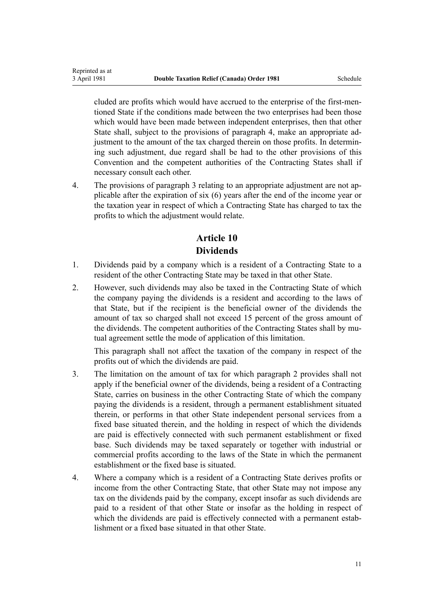Reprinted as at

cluded are profits which would have accrued to the enterprise of the first-mentioned State if the conditions made between the two enterprises had been those which would have been made between independent enterprises, then that other State shall, subject to the provisions of paragraph 4, make an appropriate adjustment to the amount of the tax charged therein on those profits. In determining such adjustment, due regard shall be had to the other provisions of this Convention and the competent authorities of the Contracting States shall if necessary consult each other.

4. The provisions of paragraph 3 relating to an appropriate adjustment are not applicable after the expiration of six (6) years after the end of the income year or the taxation year in respect of which a Contracting State has charged to tax the profits to which the adjustment would relate.

# **Article 10 Dividends**

- 1. Dividends paid by a company which is a resident of a Contracting State to a resident of the other Contracting State may be taxed in that other State.
- 2. However, such dividends may also be taxed in the Contracting State of which the company paying the dividends is a resident and according to the laws of that State, but if the recipient is the beneficial owner of the dividends the amount of tax so charged shall not exceed 15 percent of the gross amount of the dividends. The competent authorities of the Contracting States shall by mutual agreement settle the mode of application of this limitation.

This paragraph shall not affect the taxation of the company in respect of the profits out of which the dividends are paid.

- 3. The limitation on the amount of tax for which paragraph 2 provides shall not apply if the beneficial owner of the dividends, being a resident of a Contracting State, carries on business in the other Contracting State of which the company paying the dividends is a resident, through a permanent establishment situated therein, or performs in that other State independent personal services from a fixed base situated therein, and the holding in respect of which the dividends are paid is effectively connected with such permanent establishment or fixed base. Such dividends may be taxed separately or together with industrial or commercial profits according to the laws of the State in which the permanent establishment or the fixed base is situated.
- 4. Where a company which is a resident of a Contracting State derives profits or income from the other Contracting State, that other State may not impose any tax on the dividends paid by the company, except insofar as such dividends are paid to a resident of that other State or insofar as the holding in respect of which the dividends are paid is effectively connected with a permanent establishment or a fixed base situated in that other State.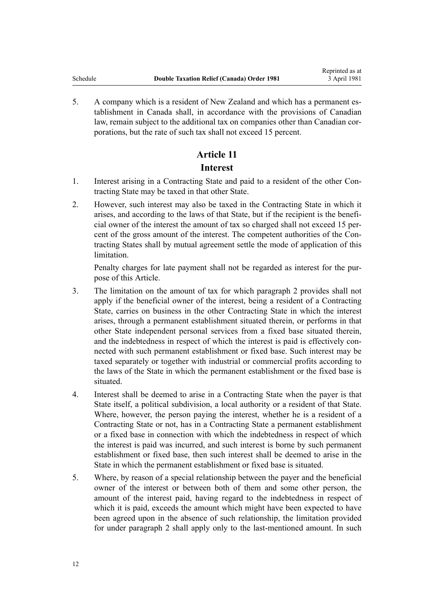5. A company which is a resident of New Zealand and which has a permanent establishment in Canada shall, in accordance with the provisions of Canadian law, remain subject to the additional tax on companies other than Canadian corporations, but the rate of such tax shall not exceed 15 percent.

# **Article 11 Interest**

- 1. Interest arising in a Contracting State and paid to a resident of the other Contracting State may be taxed in that other State.
- 2. However, such interest may also be taxed in the Contracting State in which it arises, and according to the laws of that State, but if the recipient is the beneficial owner of the interest the amount of tax so charged shall not exceed 15 percent of the gross amount of the interest. The competent authorities of the Contracting States shall by mutual agreement settle the mode of application of this limitation.

Penalty charges for late payment shall not be regarded as interest for the purpose of this Article.

- 3. The limitation on the amount of tax for which paragraph 2 provides shall not apply if the beneficial owner of the interest, being a resident of a Contracting State, carries on business in the other Contracting State in which the interest arises, through a permanent establishment situated therein, or performs in that other State independent personal services from a fixed base situated therein, and the indebtedness in respect of which the interest is paid is effectively connected with such permanent establishment or fixed base. Such interest may be taxed separately or together with industrial or commercial profits according to the laws of the State in which the permanent establishment or the fixed base is situated.
- 4. Interest shall be deemed to arise in a Contracting State when the payer is that State itself, a political subdivision, a local authority or a resident of that State. Where, however, the person paying the interest, whether he is a resident of a Contracting State or not, has in a Contracting State a permanent establishment or a fixed base in connection with which the indebtedness in respect of which the interest is paid was incurred, and such interest is borne by such permanent establishment or fixed base, then such interest shall be deemed to arise in the State in which the permanent establishment or fixed base is situated.
- 5. Where, by reason of a special relationship between the payer and the beneficial owner of the interest or between both of them and some other person, the amount of the interest paid, having regard to the indebtedness in respect of which it is paid, exceeds the amount which might have been expected to have been agreed upon in the absence of such relationship, the limitation provided for under paragraph 2 shall apply only to the last-mentioned amount. In such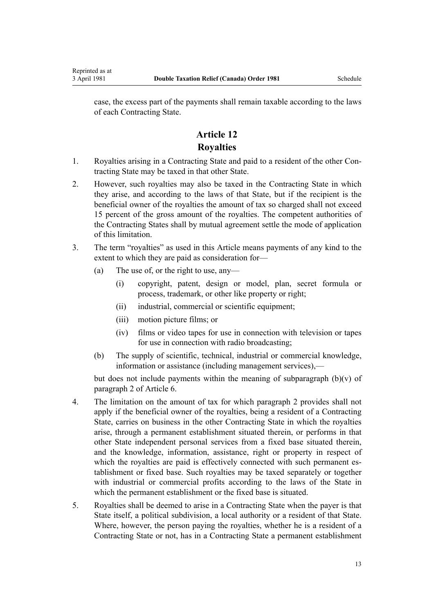case, the excess part of the payments shall remain taxable according to the laws of each Contracting State.

# **Article 12 Royalties**

- 1. Royalties arising in a Contracting State and paid to a resident of the other Contracting State may be taxed in that other State.
- 2. However, such royalties may also be taxed in the Contracting State in which they arise, and according to the laws of that State, but if the recipient is the beneficial owner of the royalties the amount of tax so charged shall not exceed 15 percent of the gross amount of the royalties. The competent authorities of the Contracting States shall by mutual agreement settle the mode of application of this limitation.
- 3. The term "royalties" as used in this Article means payments of any kind to the extent to which they are paid as consideration for—
	- (a) The use of, or the right to use, any—
		- (i) copyright, patent, design or model, plan, secret formula or process, trademark, or other like property or right;
		- (ii) industrial, commercial or scientific equipment;
		- (iii) motion picture films; or
		- (iv) films or video tapes for use in connection with television or tapes for use in connection with radio broadcasting;
	- (b) The supply of scientific, technical, industrial or commercial knowledge, information or assistance (including management services),—

but does not include payments within the meaning of subparagraph  $(b)(v)$  of paragraph 2 of Article 6.

- 4. The limitation on the amount of tax for which paragraph 2 provides shall not apply if the beneficial owner of the royalties, being a resident of a Contracting State, carries on business in the other Contracting State in which the royalties arise, through a permanent establishment situated therein, or performs in that other State independent personal services from a fixed base situated therein, and the knowledge, information, assistance, right or property in respect of which the royalties are paid is effectively connected with such permanent establishment or fixed base. Such royalties may be taxed separately or together with industrial or commercial profits according to the laws of the State in which the permanent establishment or the fixed base is situated.
- 5. Royalties shall be deemed to arise in a Contracting State when the payer is that State itself, a political subdivision, a local authority or a resident of that State. Where, however, the person paying the royalties, whether he is a resident of a Contracting State or not, has in a Contracting State a permanent establishment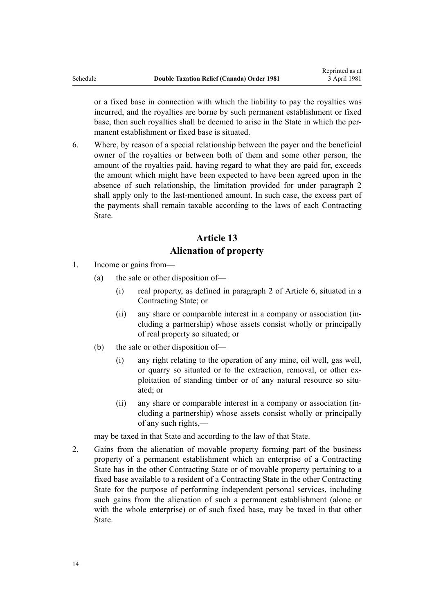or a fixed base in connection with which the liability to pay the royalties was incurred, and the royalties are borne by such permanent establishment or fixed base, then such royalties shall be deemed to arise in the State in which the permanent establishment or fixed base is situated.

6. Where, by reason of a special relationship between the payer and the beneficial owner of the royalties or between both of them and some other person, the amount of the royalties paid, having regard to what they are paid for, exceeds the amount which might have been expected to have been agreed upon in the absence of such relationship, the limitation provided for under paragraph 2 shall apply only to the last-mentioned amount. In such case, the excess part of the payments shall remain taxable according to the laws of each Contracting State.

# **Article 13 Alienation of property**

- 1. Income or gains from—
	- (a) the sale or other disposition of—
		- (i) real property, as defined in paragraph 2 of Article 6, situated in a Contracting State; or
		- (ii) any share or comparable interest in a company or association (including a partnership) whose assets consist wholly or principally of real property so situated; or
	- (b) the sale or other disposition of—
		- (i) any right relating to the operation of any mine, oil well, gas well, or quarry so situated or to the extraction, removal, or other exploitation of standing timber or of any natural resource so situated; or
		- (ii) any share or comparable interest in a company or association (including a partnership) whose assets consist wholly or principally of any such rights,—

may be taxed in that State and according to the law of that State.

2. Gains from the alienation of movable property forming part of the business property of a permanent establishment which an enterprise of a Contracting State has in the other Contracting State or of movable property pertaining to a fixed base available to a resident of a Contracting State in the other Contracting State for the purpose of performing independent personal services, including such gains from the alienation of such a permanent establishment (alone or with the whole enterprise) or of such fixed base, may be taxed in that other **State**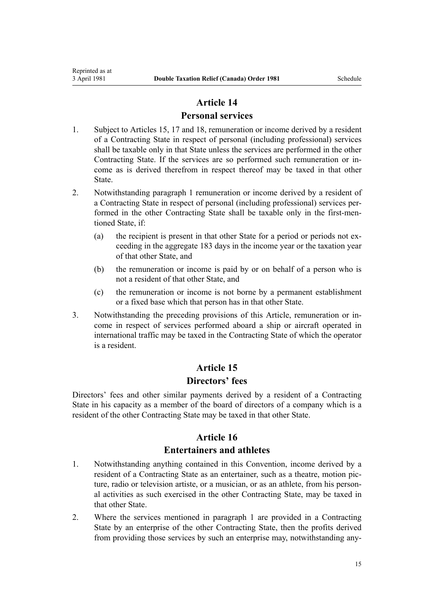#### **Personal services**

- 1. Subject to Articles 15, 17 and 18, remuneration or income derived by a resident of a Contracting State in respect of personal (including professional) services shall be taxable only in that State unless the services are performed in the other Contracting State. If the services are so performed such remuneration or income as is derived therefrom in respect thereof may be taxed in that other State.
- 2. Notwithstanding paragraph 1 remuneration or income derived by a resident of a Contracting State in respect of personal (including professional) services performed in the other Contracting State shall be taxable only in the first-mentioned State, if:
	- (a) the recipient is present in that other State for a period or periods not exceeding in the aggregate 183 days in the income year or the taxation year of that other State, and
	- (b) the remuneration or income is paid by or on behalf of a person who is not a resident of that other State, and
	- (c) the remuneration or income is not borne by a permanent establishment or a fixed base which that person has in that other State.
- 3. Notwithstanding the preceding provisions of this Article, remuneration or income in respect of services performed aboard a ship or aircraft operated in international traffic may be taxed in the Contracting State of which the operator is a resident.

# **Article 15 Directors' fees**

Directors' fees and other similar payments derived by a resident of a Contracting State in his capacity as a member of the board of directors of a company which is a resident of the other Contracting State may be taxed in that other State.

# **Article 16**

## **Entertainers and athletes**

- 1. Notwithstanding anything contained in this Convention, income derived by a resident of a Contracting State as an entertainer, such as a theatre, motion picture, radio or television artiste, or a musician, or as an athlete, from his personal activities as such exercised in the other Contracting State, may be taxed in that other State.
- 2. Where the services mentioned in paragraph 1 are provided in a Contracting State by an enterprise of the other Contracting State, then the profits derived from providing those services by such an enterprise may, notwithstanding any-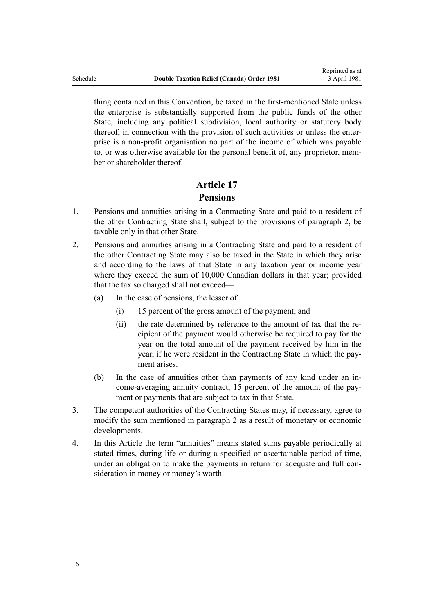thing contained in this Convention, be taxed in the first-mentioned State unless the enterprise is substantially supported from the public funds of the other State, including any political subdivision, local authority or statutory body thereof, in connection with the provision of such activities or unless the enterprise is a non-profit organisation no part of the income of which was payable to, or was otherwise available for the personal benefit of, any proprietor, member or shareholder thereof.

# **Article 17 Pensions**

- 1. Pensions and annuities arising in a Contracting State and paid to a resident of the other Contracting State shall, subject to the provisions of paragraph 2, be taxable only in that other State.
- 2. Pensions and annuities arising in a Contracting State and paid to a resident of the other Contracting State may also be taxed in the State in which they arise and according to the laws of that State in any taxation year or income year where they exceed the sum of 10,000 Canadian dollars in that year; provided that the tax so charged shall not exceed—
	- (a) In the case of pensions, the lesser of
		- (i) 15 percent of the gross amount of the payment, and
		- (ii) the rate determined by reference to the amount of tax that the recipient of the payment would otherwise be required to pay for the year on the total amount of the payment received by him in the year, if he were resident in the Contracting State in which the payment arises.
	- (b) In the case of annuities other than payments of any kind under an income-averaging annuity contract, 15 percent of the amount of the payment or payments that are subject to tax in that State.
- 3. The competent authorities of the Contracting States may, if necessary, agree to modify the sum mentioned in paragraph 2 as a result of monetary or economic developments.
- 4. In this Article the term "annuities" means stated sums payable periodically at stated times, during life or during a specified or ascertainable period of time, under an obligation to make the payments in return for adequate and full consideration in money or money's worth.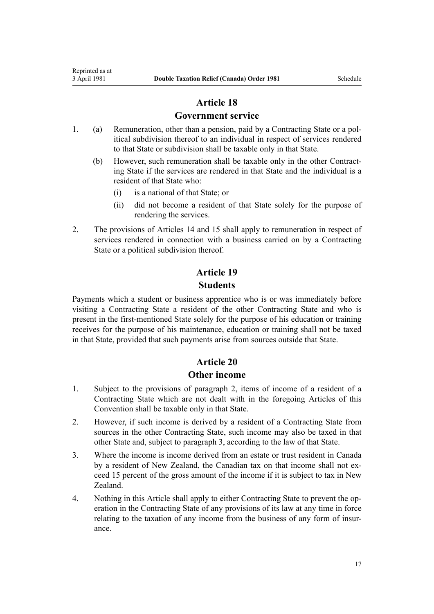#### **Government service**

- 1. (a) Remuneration, other than a pension, paid by a Contracting State or a political subdivision thereof to an individual in respect of services rendered to that State or subdivision shall be taxable only in that State.
	- (b) However, such remuneration shall be taxable only in the other Contracting State if the services are rendered in that State and the individual is a resident of that State who:
		- (i) is a national of that State; or
		- (ii) did not become a resident of that State solely for the purpose of rendering the services.
- 2. The provisions of Articles 14 and 15 shall apply to remuneration in respect of services rendered in connection with a business carried on by a Contracting State or a political subdivision thereof.

# **Article 19 Students**

Payments which a student or business apprentice who is or was immediately before visiting a Contracting State a resident of the other Contracting State and who is present in the first-mentioned State solely for the purpose of his education or training receives for the purpose of his maintenance, education or training shall not be taxed in that State, provided that such payments arise from sources outside that State.

# **Article 20**

#### **Other income**

- 1. Subject to the provisions of paragraph 2, items of income of a resident of a Contracting State which are not dealt with in the foregoing Articles of this Convention shall be taxable only in that State.
- 2. However, if such income is derived by a resident of a Contracting State from sources in the other Contracting State, such income may also be taxed in that other State and, subject to paragraph 3, according to the law of that State.
- 3. Where the income is income derived from an estate or trust resident in Canada by a resident of New Zealand, the Canadian tax on that income shall not exceed 15 percent of the gross amount of the income if it is subject to tax in New Zealand.
- 4. Nothing in this Article shall apply to either Contracting State to prevent the operation in the Contracting State of any provisions of its law at any time in force relating to the taxation of any income from the business of any form of insurance.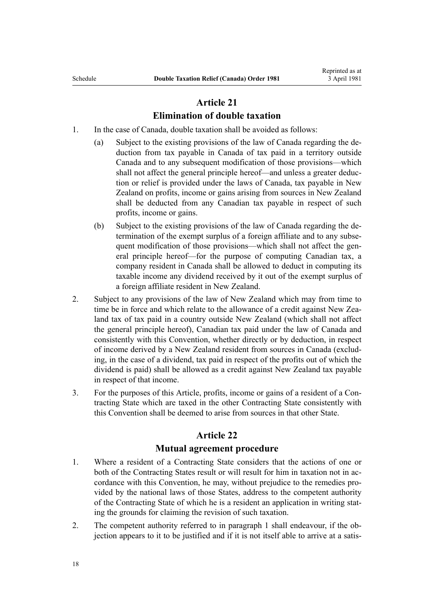## **Elimination of double taxation**

- 1. In the case of Canada, double taxation shall be avoided as follows:
	- (a) Subject to the existing provisions of the law of Canada regarding the deduction from tax payable in Canada of tax paid in a territory outside Canada and to any subsequent modification of those provisions—which shall not affect the general principle hereof—and unless a greater deduction or relief is provided under the laws of Canada, tax payable in New Zealand on profits, income or gains arising from sources in New Zealand shall be deducted from any Canadian tax payable in respect of such profits, income or gains.
	- (b) Subject to the existing provisions of the law of Canada regarding the determination of the exempt surplus of a foreign affiliate and to any subsequent modification of those provisions—which shall not affect the general principle hereof—for the purpose of computing Canadian tax, a company resident in Canada shall be allowed to deduct in computing its taxable income any dividend received by it out of the exempt surplus of a foreign affiliate resident in New Zealand.
- 2. Subject to any provisions of the law of New Zealand which may from time to time be in force and which relate to the allowance of a credit against New Zealand tax of tax paid in a country outside New Zealand (which shall not affect the general principle hereof), Canadian tax paid under the law of Canada and consistently with this Convention, whether directly or by deduction, in respect of income derived by a New Zealand resident from sources in Canada (excluding, in the case of a dividend, tax paid in respect of the profits out of which the dividend is paid) shall be allowed as a credit against New Zealand tax payable in respect of that income.
- 3. For the purposes of this Article, profits, income or gains of a resident of a Contracting State which are taxed in the other Contracting State consistently with this Convention shall be deemed to arise from sources in that other State.

## **Article 22**

#### **Mutual agreement procedure**

- 1. Where a resident of a Contracting State considers that the actions of one or both of the Contracting States result or will result for him in taxation not in accordance with this Convention, he may, without prejudice to the remedies provided by the national laws of those States, address to the competent authority of the Contracting State of which he is a resident an application in writing stating the grounds for claiming the revision of such taxation.
- 2. The competent authority referred to in paragraph 1 shall endeavour, if the objection appears to it to be justified and if it is not itself able to arrive at a satis-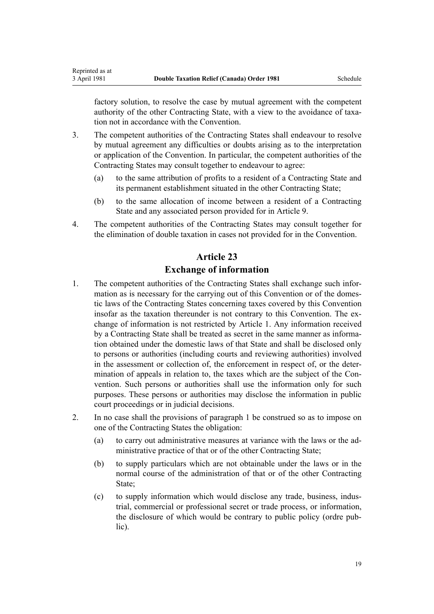Reprinted as at

factory solution, to resolve the case by mutual agreement with the competent authority of the other Contracting State, with a view to the avoidance of taxation not in accordance with the Convention.

- 3. The competent authorities of the Contracting States shall endeavour to resolve by mutual agreement any difficulties or doubts arising as to the interpretation or application of the Convention. In particular, the competent authorities of the Contracting States may consult together to endeavour to agree:
	- (a) to the same attribution of profits to a resident of a Contracting State and its permanent establishment situated in the other Contracting State;
	- (b) to the same allocation of income between a resident of a Contracting State and any associated person provided for in Article 9.
- 4. The competent authorities of the Contracting States may consult together for the elimination of double taxation in cases not provided for in the Convention.

# **Article 23 Exchange of information**

- 1. The competent authorities of the Contracting States shall exchange such information as is necessary for the carrying out of this Convention or of the domestic laws of the Contracting States concerning taxes covered by this Convention insofar as the taxation thereunder is not contrary to this Convention. The exchange of information is not restricted by Article 1. Any information received by a Contracting State shall be treated as secret in the same manner as information obtained under the domestic laws of that State and shall be disclosed only to persons or authorities (including courts and reviewing authorities) involved in the assessment or collection of, the enforcement in respect of, or the determination of appeals in relation to, the taxes which are the subject of the Convention. Such persons or authorities shall use the information only for such purposes. These persons or authorities may disclose the information in public court proceedings or in judicial decisions.
- 2. In no case shall the provisions of paragraph 1 be construed so as to impose on one of the Contracting States the obligation:
	- (a) to carry out administrative measures at variance with the laws or the administrative practice of that or of the other Contracting State;
	- (b) to supply particulars which are not obtainable under the laws or in the normal course of the administration of that or of the other Contracting State;
	- (c) to supply information which would disclose any trade, business, industrial, commercial or professional secret or trade process, or information, the disclosure of which would be contrary to public policy (ordre public).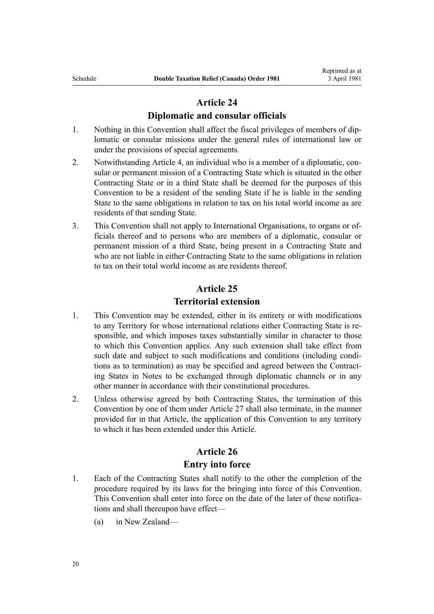#### **Diplomatic and consular officials**

- 1. Nothing in this Convention shall affect the fiscal privileges of members of diplomatic or consular missions under the general rules of international law or under the provisions of special agreements.
- 2. Notwithstanding Article 4, an individual who is a member of a diplomatic, consular or permanent mission of a Contracting State which is situated in the other Contracting State or in a third State shall be deemed for the purposes of this Convention to be a resident of the sending State if he is liable in the sending State to the same obligations in relation to tax on his total world income as are residents of that sending State.
- 3. This Convention shall not apply to International Organisations, to organs or officials thereof and to persons who are members of a diplomatic, consular or permanent mission of a third State, being present in a Contracting State and who are not liable in either Contracting State to the same obligations in relation to tax on their total world income as are residents thereof.

## **Article 25**

### **Territorial extension**

- 1. This Convention may be extended, either in its entirety or with modifications to any Territory for whose international relations either Contracting State is responsible, and which imposes taxes substantially similar in character to those to which this Convention applies. Any such extension shall take effect from such date and subject to such modifications and conditions (including conditions as to termination) as may be specified and agreed between the Contracting States in Notes to be exchanged through diplomatic channels or in any other manner in accordance with their constitutional procedures.
- 2. Unless otherwise agreed by both Contracting States, the termination of this Convention by one of them under Article 27 shall also terminate, in the manner provided for in that Article, the application of this Convention to any territory to which it has been extended under this Article.

## **Article 26**

#### **Entry into force**

- 1. Each of the Contracting States shall notify to the other the completion of the procedure required by its laws for the bringing into force of this Convention. This Convention shall enter into force on the date of the later of these notifications and shall thereupon have effect—
	- (a) in New Zealand—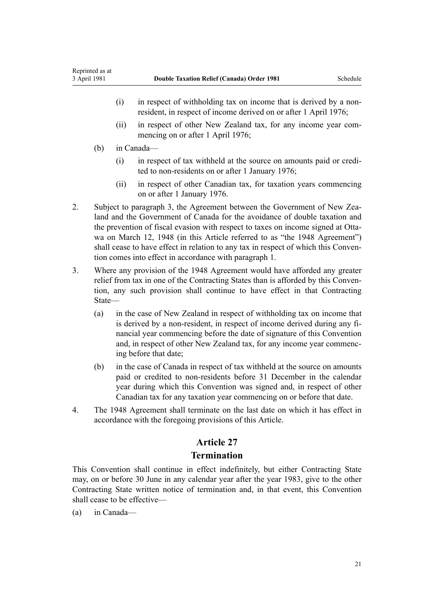- (i) in respect of withholding tax on income that is derived by a nonresident, in respect of income derived on or after 1 April 1976;
- (ii) in respect of other New Zealand tax, for any income year commencing on or after 1 April 1976;
- (b) in Canada—
	- (i) in respect of tax withheld at the source on amounts paid or credited to non-residents on or after 1 January 1976;
	- (ii) in respect of other Canadian tax, for taxation years commencing on or after 1 January 1976.
- 2. Subject to paragraph 3, the Agreement between the Government of New Zealand and the Government of Canada for the avoidance of double taxation and the prevention of fiscal evasion with respect to taxes on income signed at Ottawa on March 12, 1948 (in this Article referred to as "the 1948 Agreement") shall cease to have effect in relation to any tax in respect of which this Convention comes into effect in accordance with paragraph 1.
- 3. Where any provision of the 1948 Agreement would have afforded any greater relief from tax in one of the Contracting States than is afforded by this Convention, any such provision shall continue to have effect in that Contracting State—
	- (a) in the case of New Zealand in respect of withholding tax on income that is derived by a non-resident, in respect of income derived during any financial year commencing before the date of signature of this Convention and, in respect of other New Zealand tax, for any income year commencing before that date;
	- (b) in the case of Canada in respect of tax withheld at the source on amounts paid or credited to non-residents before 31 December in the calendar year during which this Convention was signed and, in respect of other Canadian tax for any taxation year commencing on or before that date.
- 4. The 1948 Agreement shall terminate on the last date on which it has effect in accordance with the foregoing provisions of this Article.

## **Termination**

This Convention shall continue in effect indefinitely, but either Contracting State may, on or before 30 June in any calendar year after the year 1983, give to the other Contracting State written notice of termination and, in that event, this Convention shall cease to be effective—

(a) in Canada—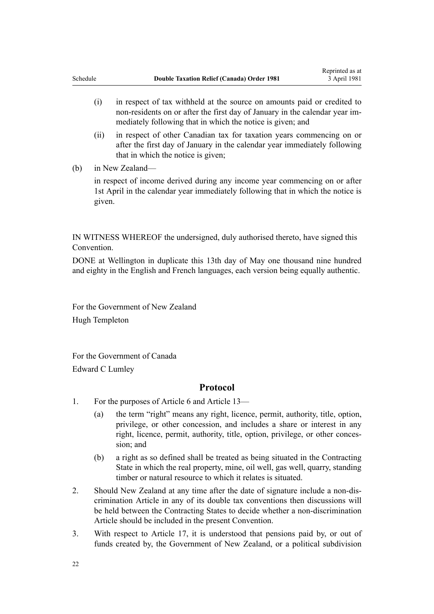- (i) in respect of tax withheld at the source on amounts paid or credited to non-residents on or after the first day of January in the calendar year immediately following that in which the notice is given; and
- (ii) in respect of other Canadian tax for taxation years commencing on or after the first day of January in the calendar year immediately following that in which the notice is given;
- (b) in New Zealand—

in respect of income derived during any income year commencing on or after 1st April in the calendar year immediately following that in which the notice is given.

IN WITNESS WHEREOF the undersigned, duly authorised thereto, have signed this **Convention** 

DONE at Wellington in duplicate this 13th day of May one thousand nine hundred and eighty in the English and French languages, each version being equally authentic.

For the Government of New Zealand Hugh Templeton

For the Government of Canada Edward C Lumley

#### **Protocol**

- 1. For the purposes of Article 6 and Article 13—
	- (a) the term "right" means any right, licence, permit, authority, title, option, privilege, or other concession, and includes a share or interest in any right, licence, permit, authority, title, option, privilege, or other concession; and
	- (b) a right as so defined shall be treated as being situated in the Contracting State in which the real property, mine, oil well, gas well, quarry, standing timber or natural resource to which it relates is situated.
- 2. Should New Zealand at any time after the date of signature include a non-discrimination Article in any of its double tax conventions then discussions will be held between the Contracting States to decide whether a non-discrimination Article should be included in the present Convention.
- 3. With respect to Article 17, it is understood that pensions paid by, or out of funds created by, the Government of New Zealand, or a political subdivision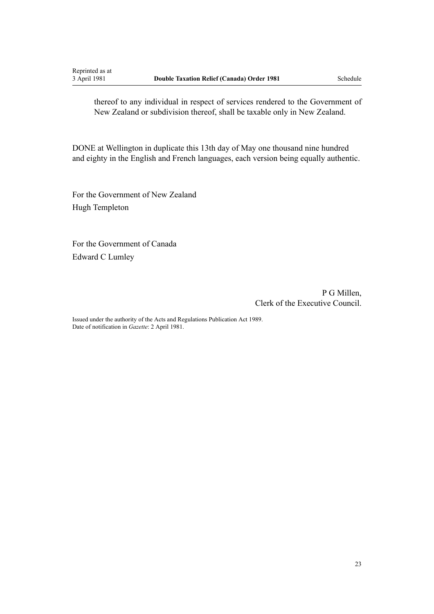thereof to any individual in respect of services rendered to the Government of New Zealand or subdivision thereof, shall be taxable only in New Zealand.

DONE at Wellington in duplicate this 13th day of May one thousand nine hundred and eighty in the English and French languages, each version being equally authentic.

For the Government of New Zealand Hugh Templeton

For the Government of Canada Edward C Lumley

> P G Millen, Clerk of the Executive Council.

Issued under the authority of the [Acts and Regulations Publication Act 1989.](http://prd-lgnz-nlb.prd.pco.net.nz/pdflink.aspx?id=DLM195097) Date of notification in *Gazette*: 2 April 1981.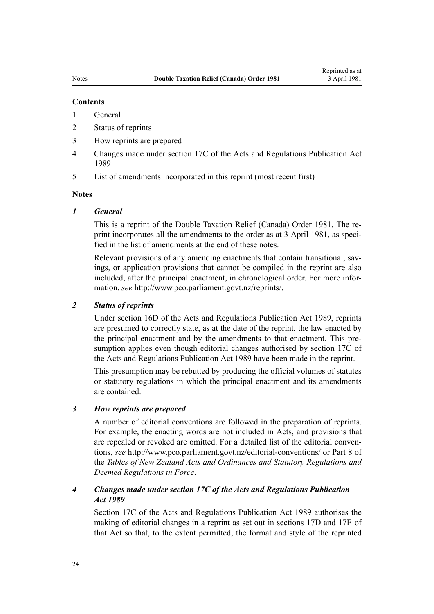#### **Contents**

#### 1 General

- 2 Status of reprints
- 3 How reprints are prepared
- 4 Changes made under section 17C of the Acts and Regulations Publication Act 1989
- 5 List of amendments incorporated in this reprint (most recent first)

#### **Notes**

#### *1 General*

This is a reprint of the Double Taxation Relief (Canada) Order 1981. The reprint incorporates all the amendments to the order as at 3 April 1981, as specified in the list of amendments at the end of these notes.

Relevant provisions of any amending enactments that contain transitional, savings, or application provisions that cannot be compiled in the reprint are also included, after the principal enactment, in chronological order. For more information, *see*<http://www.pco.parliament.govt.nz/reprints/>.

#### *2 Status of reprints*

Under [section 16D](http://prd-lgnz-nlb.prd.pco.net.nz/pdflink.aspx?id=DLM195439) of the Acts and Regulations Publication Act 1989, reprints are presumed to correctly state, as at the date of the reprint, the law enacted by the principal enactment and by the amendments to that enactment. This presumption applies even though editorial changes authorised by [section 17C](http://prd-lgnz-nlb.prd.pco.net.nz/pdflink.aspx?id=DLM195466) of the Acts and Regulations Publication Act 1989 have been made in the reprint.

This presumption may be rebutted by producing the official volumes of statutes or statutory regulations in which the principal enactment and its amendments are contained.

#### *3 How reprints are prepared*

A number of editorial conventions are followed in the preparation of reprints. For example, the enacting words are not included in Acts, and provisions that are repealed or revoked are omitted. For a detailed list of the editorial conventions, *see* <http://www.pco.parliament.govt.nz/editorial-conventions/>or Part 8 of the *Tables of New Zealand Acts and Ordinances and Statutory Regulations and Deemed Regulations in Force*.

#### *4 Changes made under section 17C of the Acts and Regulations Publication Act 1989*

[Section 17C](http://prd-lgnz-nlb.prd.pco.net.nz/pdflink.aspx?id=DLM195466) of the Acts and Regulations Publication Act 1989 authorises the making of editorial changes in a reprint as set out in [sections 17D](http://prd-lgnz-nlb.prd.pco.net.nz/pdflink.aspx?id=DLM195468) and [17E](http://prd-lgnz-nlb.prd.pco.net.nz/pdflink.aspx?id=DLM195470) of that Act so that, to the extent permitted, the format and style of the reprinted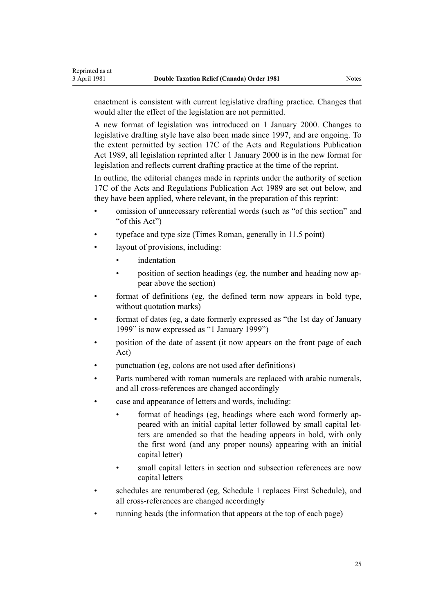enactment is consistent with current legislative drafting practice. Changes that would alter the effect of the legislation are not permitted.

A new format of legislation was introduced on 1 January 2000. Changes to legislative drafting style have also been made since 1997, and are ongoing. To the extent permitted by [section 17C](http://prd-lgnz-nlb.prd.pco.net.nz/pdflink.aspx?id=DLM195466) of the Acts and Regulations Publication Act 1989, all legislation reprinted after 1 January 2000 is in the new format for legislation and reflects current drafting practice at the time of the reprint.

In outline, the editorial changes made in reprints under the authority of [section](http://prd-lgnz-nlb.prd.pco.net.nz/pdflink.aspx?id=DLM195466) [17C](http://prd-lgnz-nlb.prd.pco.net.nz/pdflink.aspx?id=DLM195466) of the Acts and Regulations Publication Act 1989 are set out below, and they have been applied, where relevant, in the preparation of this reprint:

- omission of unnecessary referential words (such as "of this section" and "of this Act")
- typeface and type size (Times Roman, generally in 11.5 point)
- layout of provisions, including:
	- *indentation*
	- position of section headings (eg, the number and heading now appear above the section)
- format of definitions (eg, the defined term now appears in bold type, without quotation marks)
- format of dates (eg, a date formerly expressed as "the 1st day of January 1999" is now expressed as "1 January 1999")
- position of the date of assent (it now appears on the front page of each Act)
- punctuation (eg, colons are not used after definitions)
- Parts numbered with roman numerals are replaced with arabic numerals, and all cross-references are changed accordingly
- case and appearance of letters and words, including:
	- format of headings (eg, headings where each word formerly appeared with an initial capital letter followed by small capital letters are amended so that the heading appears in bold, with only the first word (and any proper nouns) appearing with an initial capital letter)
	- small capital letters in section and subsection references are now capital letters
- schedules are renumbered (eg, Schedule 1 replaces First Schedule), and all cross-references are changed accordingly
- running heads (the information that appears at the top of each page)